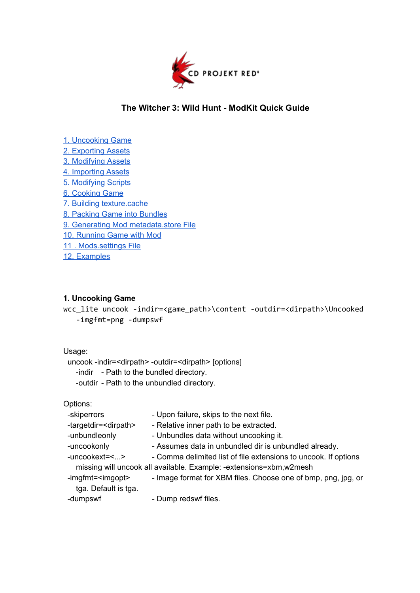

# **The Witcher 3: Wild Hunt ModKit Quick Guide**

- 1. [Uncooking](#page-0-0) Game
- 2. [Exporting](#page-1-0) Assets
- 3. [Modifying](#page-1-1) Assets
- 4. [Importing](#page-1-2) Assets
- 5. [Modifying](#page-2-0) Scripts
- 6. [Cooking](#page-2-1) Game
- 7. Building [texture.cache](#page-2-2)
- 8. Packing Game into [Bundles](#page-2-3)
- 9. Generating Mod [metadata.store](#page-2-4) File
- 10. [Running](#page-2-5) Game with Mod
- 11 . [Mods.settings](#page-3-0) File
- 12. [Examples](#page-3-1)

### <span id="page-0-0"></span>**1. Uncooking Game**

wcc\_lite uncook -indir=<game\_path>\content -outdir=<dirpath>\Uncooked -imgfmt=png-dumpswf

#### Usage:

uncook -indir=<dirpath> -outdir=<dirpath> [options]

-indir - Path to the bundled directory.

-outdir - Path to the unbundled directory.

## Options:

| -skiperrors                     | - Upon failure, skips to the next file.                            |
|---------------------------------|--------------------------------------------------------------------|
| -targetdir= <dirpath></dirpath> | - Relative inner path to be extracted.                             |
| -unbundleonly                   | - Unbundles data without uncooking it.                             |
| -uncookonly                     | - Assumes data in unbundled dir is unbundled already.              |
| -uncookext=<>                   | - Comma delimited list of file extensions to uncook. If options    |
|                                 | missing will uncook all available. Example: -extensions=xbm,w2mesh |
| -imgfmt= <imgopt></imgopt>      | - Image format for XBM files. Choose one of bmp, png, jpg, or      |
| tga. Default is tga.            |                                                                    |
| -dumpswf                        | - Dump redswf files.                                               |
|                                 |                                                                    |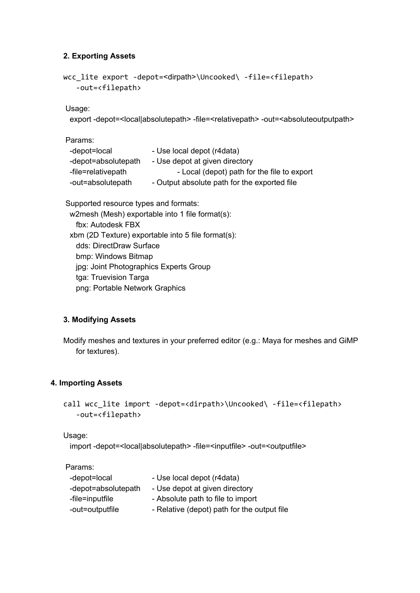## <span id="page-1-0"></span>**2. Exporting Assets**

```
wcc_lite export -depot=<dirpath>\Uncooked\ -file=<filepath>
   -out=<filepath>
```
Usage:

```
export -depot=<local|absolutepath> -file=<relativepath> -out=<absoluteoutputpath>
```
Params:

| -depot=local        | - Use local depot (r4data)                   |
|---------------------|----------------------------------------------|
| -depot=absolutepath | - Use depot at given directory               |
| -file=relativepath  | - Local (depot) path for the file to export  |
| -out=absolutepath   | - Output absolute path for the exported file |
|                     |                                              |

Supported resource types and formats: w2mesh (Mesh) exportable into 1 file format(s): fbx: Autodesk FBX xbm (2D Texture) exportable into 5 file format(s): dds: DirectDraw Surface bmp: Windows Bitmap jpg: Joint Photographics Experts Group

tga: Truevision Targa

png: Portable Network Graphics

## <span id="page-1-1"></span>**3. Modifying Assets**

Modify meshes and textures in your preferred editor (e.g.: Maya for meshes and GiMP for textures).

## <span id="page-1-2"></span>**4. Importing Assets**

```
call wcc lite import -depot=<dirpath>\Uncooked\ -file=<filepath>
  -out=<filepath>
```
Usage:

import -depot=<local|absolutepath> -file=<inputfile> -out=<outputfile>

Params:

| -depot=local        | - Use local depot (r4data)                  |
|---------------------|---------------------------------------------|
| -depot=absolutepath | - Use depot at given directory              |
| -file=inputfile     | - Absolute path to file to import           |
| -out=outputfile     | - Relative (depot) path for the output file |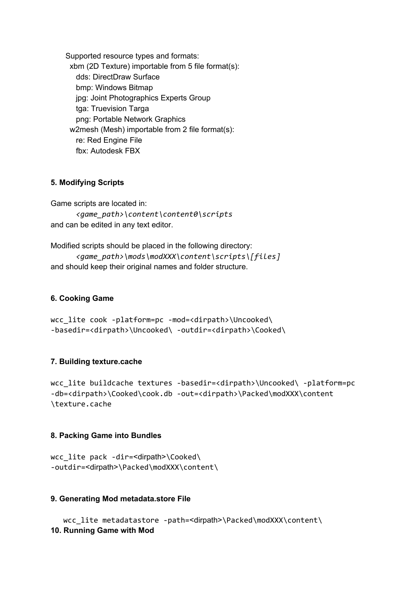Supported resource types and formats: xbm (2D Texture) importable from 5 file format(s): dds: DirectDraw Surface bmp: Windows Bitmap jpg: Joint Photographics Experts Group tga: Truevision Targa png: Portable Network Graphics w2mesh (Mesh) importable from 2 file format(s): re: Red Engine File fbx: Autodesk FBX

#### <span id="page-2-0"></span>**5. Modifying Scripts**

Game scripts are located in:

*<game\_path>\content\content0\scripts* and can be edited in any text editor.

Modified scripts should be placed in the following directory: *<game\_path>\mods\modXXX\content\scripts\[files]*

and should keep their original names and folder structure.

### <span id="page-2-1"></span>**6. Cooking Game**

```
wcc_lite cook -platform=pc -mod=<dirpath>\Uncooked\
-basedir=<dirpath>\Uncooked\-outdir=<dirpath>\Cooked\
```
#### <span id="page-2-2"></span>**7. Building texture.cache**

wcc\_lite buildcache textures -basedir=<dirpath>\Uncooked\ -platform=pc -db=<dirpath>\Cooked\cook.db-out=<dirpath>\Packed\modXXX\content \texture.cache

#### <span id="page-2-3"></span>**8. Packing Game into Bundles**

wcc lite pack -dir=<dirpath>\Cooked\ -outdir=<dirpath>\Packed\modXXX\content\

#### <span id="page-2-4"></span>**9. Generating Mod metadata.store File**

<span id="page-2-5"></span>wcc\_lite metadatastore -path=<dirpath>\Packed\modXXX\content\ **10. Running Game with Mod**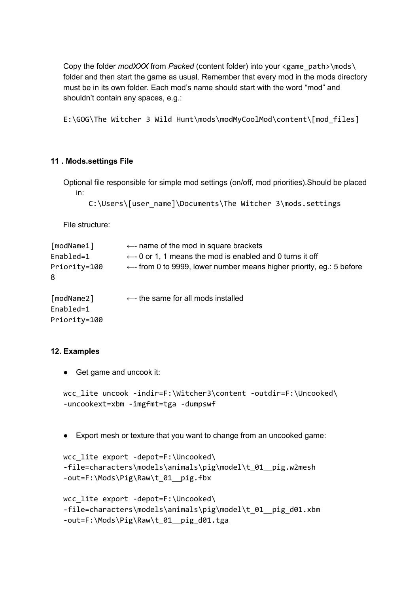Copy the folder *modXXX* from *Packed* (content folder) into your <game\_path>\mods\ folder and then start the game as usual. Remember that every mod in the mods directory must be in its own folder. Each mod's name should start with the word "mod" and shouldn't contain any spaces, e.g.:

E:\GOG\The Witcher 3 Wild Hunt\mods\modMyCoolMod\content\[mod\_files]

#### <span id="page-3-0"></span>**11 . Mods.settings File**

Optional file responsible for simple mod settings (on/off, mod priorities).Should be placed in:

```
C:\Users\[user_name]\Documents\The Witcher 3\mods.settings
```
File structure:

| [modName1]<br>Enabled=1<br>Priority=100<br>8 | $\leftarrow$ - name of the mod in square brackets<br>$\leftarrow$ 0 or 1, 1 means the mod is enabled and 0 turns it off<br>$\leftarrow$ - from 0 to 9999, lower number means higher priority, eg.: 5 before |
|----------------------------------------------|-------------------------------------------------------------------------------------------------------------------------------------------------------------------------------------------------------------|
| [modName2]<br>Enabled=1<br>Priority=100      | $\leftarrow$ - the same for all mods installed                                                                                                                                                              |

#### <span id="page-3-1"></span>**12. Examples**

● Get game and uncook it:

```
wcc lite uncook -indir=F:\Witcher3\content -outdir=F:\Uncooked\
-uncookext=xbm-imgfmt=tga-dumpswf
```
● Export mesh or texture that you want to change from an uncooked game:

```
wcc lite export -depot=F:\Uncooked\
-file=characters\models\animals\pig\model\t 01 pig.w2mesh
-out=F:\Mods\Pig\Raw\t 01 pig.fbx
```

```
wcc lite export -depot=F:\Uncooked\
-file=characters\models\animals\pig\model\t_01__pig_d01.xbm
-out=F:\Mods\Pig\Raw\t_01__pig_d01.tga
```